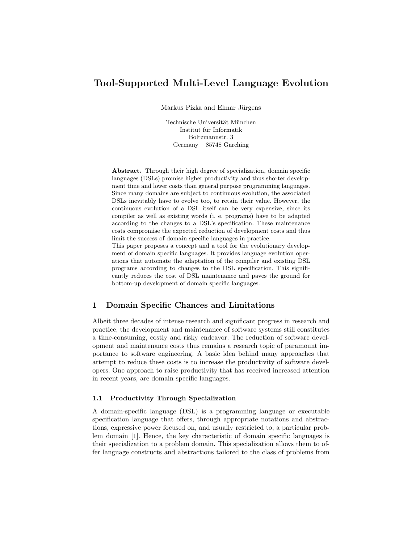# Tool-Supported Multi-Level Language Evolution

Markus Pizka and Elmar Jürgens

Technische Universität München Institut für Informatik Boltzmannstr. 3 Germany – 85748 Garching

Abstract. Through their high degree of specialization, domain specific languages (DSLs) promise higher productivity and thus shorter development time and lower costs than general purpose programming languages. Since many domains are subject to continuous evolution, the associated DSLs inevitably have to evolve too, to retain their value. However, the continuous evolution of a DSL itself can be very expensive, since its compiler as well as existing words (i. e. programs) have to be adapted according to the changes to a DSL's specification. These maintenance costs compromise the expected reduction of development costs and thus limit the success of domain specific languages in practice.

This paper proposes a concept and a tool for the evolutionary development of domain specific languages. It provides language evolution operations that automate the adaptation of the compiler and existing DSL programs according to changes to the DSL specification. This significantly reduces the cost of DSL maintenance and paves the ground for bottom-up development of domain specific languages.

# 1 Domain Specific Chances and Limitations

Albeit three decades of intense research and significant progress in research and practice, the development and maintenance of software systems still constitutes a time-consuming, costly and risky endeavor. The reduction of software development and maintenance costs thus remains a research topic of paramount importance to software engineering. A basic idea behind many approaches that attempt to reduce these costs is to increase the productivity of software developers. One approach to raise productivity that has received increased attention in recent years, are domain specific languages.

### 1.1 Productivity Through Specialization

A domain-specific language (DSL) is a programming language or executable specification language that offers, through appropriate notations and abstractions, expressive power focused on, and usually restricted to, a particular problem domain [1]. Hence, the key characteristic of domain specific languages is their specialization to a problem domain. This specialization allows them to offer language constructs and abstractions tailored to the class of problems from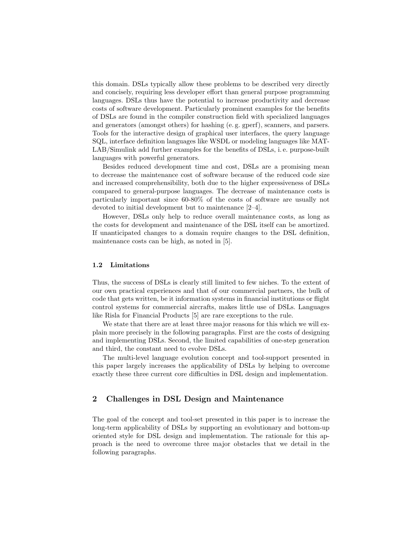this domain. DSLs typically allow these problems to be described very directly and concisely, requiring less developer effort than general purpose programming languages. DSLs thus have the potential to increase productivity and decrease costs of software development. Particularly prominent examples for the benefits of DSLs are found in the compiler construction field with specialized languages and generators (amongst others) for hashing (e. g. gperf), scanners, and parsers. Tools for the interactive design of graphical user interfaces, the query language SQL, interface definition languages like WSDL or modeling languages like MAT-LAB/Simulink add further examples for the benefits of DSLs, i. e. purpose-built languages with powerful generators.

Besides reduced development time and cost, DSLs are a promising mean to decrease the maintenance cost of software because of the reduced code size and increased comprehensibility, both due to the higher expressiveness of DSLs compared to general-purpose languages. The decrease of maintenance costs is particularly important since 60-80% of the costs of software are usually not devoted to initial development but to maintenance [2–4].

However, DSLs only help to reduce overall maintenance costs, as long as the costs for development and maintenance of the DSL itself can be amortized. If unanticipated changes to a domain require changes to the DSL definition, maintenance costs can be high, as noted in [5].

#### 1.2 Limitations

Thus, the success of DSLs is clearly still limited to few niches. To the extent of our own practical experiences and that of our commercial partners, the bulk of code that gets written, be it information systems in financial institutions or flight control systems for commercial aircrafts, makes little use of DSLs. Languages like Risla for Financial Products [5] are rare exceptions to the rule.

We state that there are at least three major reasons for this which we will explain more precisely in the following paragraphs. First are the costs of designing and implementing DSLs. Second, the limited capabilities of one-step generation and third, the constant need to evolve DSLs.

The multi-level language evolution concept and tool-support presented in this paper largely increases the applicability of DSLs by helping to overcome exactly these three current core difficulties in DSL design and implementation.

# 2 Challenges in DSL Design and Maintenance

The goal of the concept and tool-set presented in this paper is to increase the long-term applicability of DSLs by supporting an evolutionary and bottom-up oriented style for DSL design and implementation. The rationale for this approach is the need to overcome three major obstacles that we detail in the following paragraphs.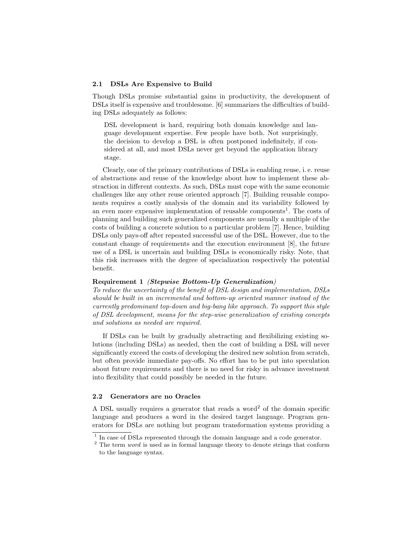#### 2.1 DSLs Are Expensive to Build

Though DSLs promise substantial gains in productivity, the development of DSLs itself is expensive and troublesome. [6] summarizes the difficulties of building DSLs adequately as follows:

DSL development is hard, requiring both domain knowledge and language development expertise. Few people have both. Not surprisingly, the decision to develop a DSL is often postponed indefinitely, if considered at all, and most DSLs never get beyond the application library stage.

Clearly, one of the primary contributions of DSLs is enabling reuse, i. e. reuse of abstractions and reuse of the knowledge about how to implement these abstraction in different contexts. As such, DSLs must cope with the same economic challenges like any other reuse oriented approach [7]. Building reusable components requires a costly analysis of the domain and its variability followed by an even more expensive implementation of reusable components<sup>1</sup>. The costs of planning and building such generalized components are usually a multiple of the costs of building a concrete solution to a particular problem [7]. Hence, building DSLs only pays-off after repeated successful use of the DSL. However, due to the constant change of requirements and the execution environment [8], the future use of a DSL is uncertain and building DSLs is economically risky. Note, that this risk increases with the degree of specialization respectively the potential benefit.

#### Requirement 1 (Stepwise Bottom-Up Generalization)

To reduce the uncertainty of the benefit of DSL design and implementation, DSLs should be built in an incremental and bottom-up oriented manner instead of the currently predominant top-down and big-bang like approach. To support this style of DSL development, means for the step-wise generalization of existing concepts and solutions as needed are required.

If DSLs can be built by gradually abstracting and flexibilizing existing solutions (including DSLs) as needed, then the cost of building a DSL will never significantly exceed the costs of developing the desired new solution from scratch, but often provide immediate pay-offs. No effort has to be put into speculation about future requirements and there is no need for risky in advance investment into flexibility that could possibly be needed in the future.

#### 2.2 Generators are no Oracles

A DSL usually requires a generator that reads a word<sup>2</sup> of the domain specific language and produces a word in the desired target language. Program generators for DSLs are nothing but program transformation systems providing a

<sup>&</sup>lt;sup>1</sup> In case of DSLs represented through the domain language and a code generator.

 $2$  The term *word* is used as in formal language theory to denote strings that conform to the language syntax.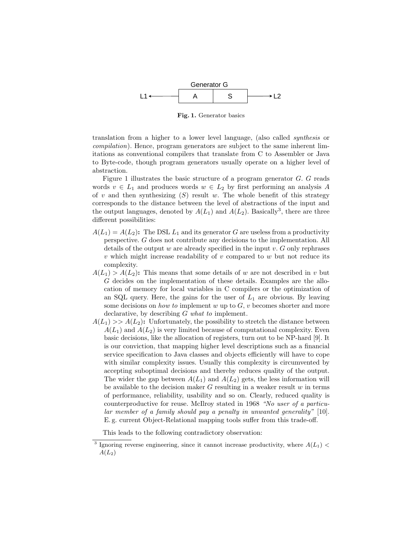

Fig. 1. Generator basics

translation from a higher to a lower level language, (also called synthesis or compilation). Hence, program generators are subject to the same inherent limitations as conventional compilers that translate from C to Assembler or Java to Byte-code, though program generators usually operate on a higher level of abstraction.

Figure 1 illustrates the basic structure of a program generator G. G reads words  $v \in L_1$  and produces words  $w \in L_2$  by first performing an analysis A of  $v$  and then synthesizing  $(S)$  result  $w$ . The whole benefit of this strategy corresponds to the distance between the level of abstractions of the input and the output languages, denoted by  $A(L_1)$  and  $A(L_2)$ . Basically<sup>3</sup>, there are three different possibilities:

- $A(L_1) = A(L_2)$ : The DSL  $L_1$  and its generator G are useless from a productivity perspective. G does not contribute any decisions to the implementation. All details of the output  $w$  are already specified in the input  $v$ .  $G$  only rephrases  $v$  which might increase readability of  $v$  compared to  $w$  but not reduce its complexity.
- $A(L_1) > A(L_2)$ : This means that some details of w are not described in v but G decides on the implementation of these details. Examples are the allocation of memory for local variables in C compilers or the optimization of an SQL query. Here, the gains for the user of  $L_1$  are obvious. By leaving some decisions on *how to* implement  $w$  up to  $G$ ,  $v$  becomes shorter and more declarative, by describing G what to implement.
- $A(L_1) >> A(L_2)$ : Unfortunately, the possibility to stretch the distance between  $A(L_1)$  and  $A(L_2)$  is very limited because of computational complexity. Even basic decisions, like the allocation of registers, turn out to be NP-hard [9]. It is our conviction, that mapping higher level descriptions such as a financial service specification to Java classes and objects efficiently will have to cope with similar complexity issues. Usually this complexity is circumvented by accepting suboptimal decisions and thereby reduces quality of the output. The wider the gap between  $A(L_1)$  and  $A(L_2)$  gets, the less information will be available to the decision maker G resulting in a weaker result  $w$  in terms of performance, reliability, usability and so on. Clearly, reduced quality is counterproductive for reuse. McIlroy stated in 1968 "No user of a particular member of a family should pay a penalty in unwanted generality" [10]. E. g. current Object-Relational mapping tools suffer from this trade-off.

This leads to the following contradictory observation:

<sup>&</sup>lt;sup>3</sup> Ignoring reverse engineering, since it cannot increase productivity, where  $A(L_1)$  <  $A(L_2)$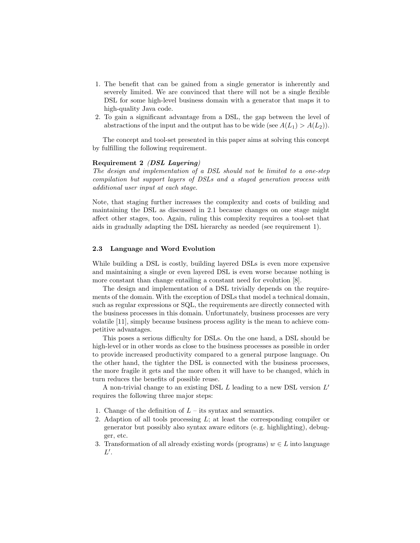- 1. The benefit that can be gained from a single generator is inherently and severely limited. We are convinced that there will not be a single flexible DSL for some high-level business domain with a generator that maps it to high-quality Java code.
- 2. To gain a significant advantage from a DSL, the gap between the level of abstractions of the input and the output has to be wide (see  $A(L_1) > A(L_2)$ ).

The concept and tool-set presented in this paper aims at solving this concept by fulfilling the following requirement.

#### Requirement 2 (DSL Layering)

The design and implementation of a DSL should not be limited to a one-step compilation but support layers of DSLs and a staged generation process with additional user input at each stage.

Note, that staging further increases the complexity and costs of building and maintaining the DSL as discussed in 2.1 because changes on one stage might affect other stages, too. Again, ruling this complexity requires a tool-set that aids in gradually adapting the DSL hierarchy as needed (see requirement 1).

### 2.3 Language and Word Evolution

While building a DSL is costly, building layered DSLs is even more expensive and maintaining a single or even layered DSL is even worse because nothing is more constant than change entailing a constant need for evolution [8].

The design and implementation of a DSL trivially depends on the requirements of the domain. With the exception of DSLs that model a technical domain, such as regular expressions or SQL, the requirements are directly connected with the business processes in this domain. Unfortunately, business processes are very volatile [11], simply because business process agility is the mean to achieve competitive advantages.

This poses a serious difficulty for DSLs. On the one hand, a DSL should be high-level or in other words as close to the business processes as possible in order to provide increased productivity compared to a general purpose language. On the other hand, the tighter the DSL is connected with the business processes, the more fragile it gets and the more often it will have to be changed, which in turn reduces the benefits of possible reuse.

A non-trivial change to an existing DSL  $L$  leading to a new DSL version  $L'$ requires the following three major steps:

- 1. Change of the definition of  $L$  its syntax and semantics.
- 2. Adaption of all tools processing  $L$ ; at least the corresponding compiler or generator but possibly also syntax aware editors (e. g. highlighting), debugger, etc.
- 3. Transformation of all already existing words (programs)  $w \in L$  into language  $L'.$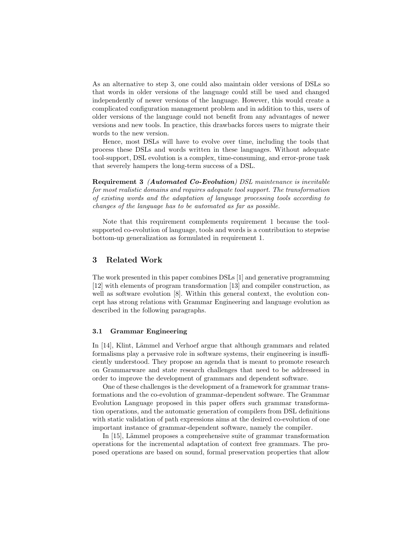As an alternative to step 3, one could also maintain older versions of DSLs so that words in older versions of the language could still be used and changed independently of newer versions of the language. However, this would create a complicated configuration management problem and in addition to this, users of older versions of the language could not benefit from any advantages of newer versions and new tools. In practice, this drawbacks forces users to migrate their words to the new version.

Hence, most DSLs will have to evolve over time, including the tools that process these DSLs and words written in these languages. Without adequate tool-support, DSL evolution is a complex, time-consuming, and error-prone task that severely hampers the long-term success of a DSL.

Requirement 3 (Automated Co-Evolution) DSL maintenance is inevitable for most realistic domains and requires adequate tool support. The transformation of existing words and the adaptation of language processing tools according to changes of the language has to be automated as far as possible.

Note that this requirement complements requirement 1 because the toolsupported co-evolution of language, tools and words is a contribution to stepwise bottom-up generalization as formulated in requirement 1.

# 3 Related Work

The work presented in this paper combines DSLs [1] and generative programming [12] with elements of program transformation [13] and compiler construction, as well as software evolution  $[8]$ . Within this general context, the evolution concept has strong relations with Grammar Engineering and language evolution as described in the following paragraphs.

### 3.1 Grammar Engineering

In [14], Klint, Lämmel and Verhoef argue that although grammars and related formalisms play a pervasive role in software systems, their engineering is insufficiently understood. They propose an agenda that is meant to promote research on Grammarware and state research challenges that need to be addressed in order to improve the development of grammars and dependent software.

One of these challenges is the development of a framework for grammar transformations and the co-evolution of grammar-dependent software. The Grammar Evolution Language proposed in this paper offers such grammar transformation operations, and the automatic generation of compilers from DSL definitions with static validation of path expressions aims at the desired co-evolution of one important instance of grammar-dependent software, namely the compiler.

In  $[15]$ , Lämmel proposes a comprehensive suite of grammar transformation operations for the incremental adaptation of context free grammars. The proposed operations are based on sound, formal preservation properties that allow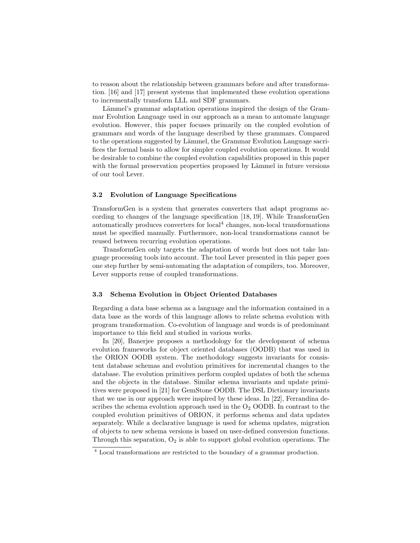to reason about the relationship between grammars before and after transformation. [16] and [17] present systems that implemented these evolution operations to incrementally transform LLL and SDF grammars.

Lämmel's grammar adaptation operations inspired the design of the Grammar Evolution Language used in our approach as a mean to automate language evolution. However, this paper focuses primarily on the coupled evolution of grammars and words of the language described by these grammars. Compared to the operations suggested by Lämmel, the Grammar Evolution Language sacrifices the formal basis to allow for simpler coupled evolution operations. It would be desirable to combine the coupled evolution capabilities proposed in this paper with the formal preservation properties proposed by Lämmel in future versions of our tool Lever.

#### 3.2 Evolution of Language Specifications

TransformGen is a system that generates converters that adapt programs according to changes of the language specification [18, 19]. While TransformGen automatically produces converters for local<sup>4</sup> changes, non-local transformations must be specified manually. Furthermore, non-local transformations cannot be reused between recurring evolution operations.

TransformGen only targets the adaptation of words but does not take language processing tools into account. The tool Lever presented in this paper goes one step further by semi-automating the adaptation of compilers, too. Moreover, Lever supports reuse of coupled transformations.

#### 3.3 Schema Evolution in Object Oriented Databases

Regarding a data base schema as a language and the information contained in a data base as the words of this language allows to relate schema evolution with program transformation. Co-evolution of language and words is of predominant importance to this field and studied in various works.

In [20], Banerjee proposes a methodology for the development of schema evolution frameworks for object oriented databases (OODB) that was used in the ORION OODB system. The methodology suggests invariants for consistent database schemas and evolution primitives for incremental changes to the database. The evolution primitives perform coupled updates of both the schema and the objects in the database. Similar schema invariants and update primitives were proposed in [21] for GemStone OODB. The DSL Dictionary invariants that we use in our approach were inspired by these ideas. In [22], Ferrandina describes the schema evolution approach used in the  $O<sub>2</sub>$  OODB. In contrast to the coupled evolution primitives of ORION, it performs schema and data updates separately. While a declarative language is used for schema updates, migration of objects to new schema versions is based on user-defined conversion functions. Through this separation,  $O_2$  is able to support global evolution operations. The

<sup>4</sup> Local transformations are restricted to the boundary of a grammar production.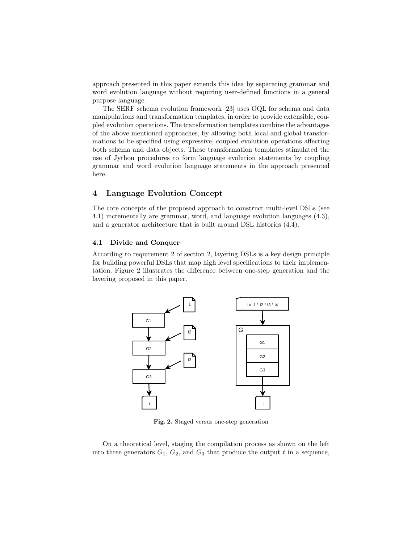approach presented in this paper extends this idea by separating grammar and word evolution language without requiring user-defined functions in a general purpose language.

The SERF schema evolution framework [23] uses OQL for schema and data manipulations and transformation templates, in order to provide extensible, coupled evolution operations. The transformation templates combine the advantages of the above mentioned approaches, by allowing both local and global transformations to be specified using expressive, coupled evolution operations affecting both schema and data objects. These transformation templates stimulated the use of Jython procedures to form language evolution statements by coupling grammar and word evolution language statements in the approach presented here.

### 4 Language Evolution Concept

The core concepts of the proposed approach to construct multi-level DSLs (see 4.1) incrementally are grammar, word, and language evolution languages (4.3), and a generator architecture that is built around DSL histories (4.4).

#### 4.1 Divide and Conquer

According to requirement 2 of section 2, layering DSLs is a key design principle for building powerful DSLs that map high level specifications to their implementation. Figure 2 illustrates the difference between one-step generation and the layering proposed in this paper.



Fig. 2. Staged versus one-step generation

On a theoretical level, staging the compilation process as shown on the left into three generators  $G_1, G_2$ , and  $G_3$  that produce the output t in a sequence,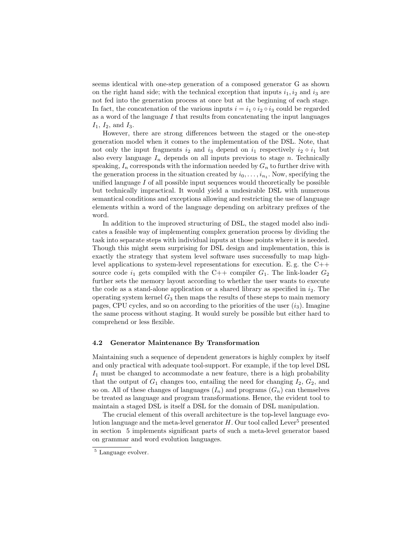seems identical with one-step generation of a composed generator G as shown on the right hand side; with the technical exception that inputs  $i_1, i_2$  and  $i_3$  are not fed into the generation process at once but at the beginning of each stage. In fact, the concatenation of the various inputs  $i = i_1 \circ i_2 \circ i_3$  could be regarded as a word of the language  $I$  that results from concatenating the input languages  $I_1$ ,  $I_2$ , and  $I_3$ .

However, there are strong differences between the staged or the one-step generation model when it comes to the implementation of the DSL. Note, that not only the input fragments  $i_2$  and  $i_3$  depend on  $i_1$  respectively  $i_2 \circ i_1$  but also every language  $I_n$  depends on all inputs previous to stage n. Technically speaking,  $I_n$  corresponds with the information needed by  $G_n$  to further drive with the generation process in the situation created by  $i_0, \ldots, i_{n_1}$ . Now, specifying the unified language  $I$  of all possible input sequences would theoretically be possible but technically impractical. It would yield a undesirable DSL with numerous semantical conditions and exceptions allowing and restricting the use of language elements within a word of the language depending on arbitrary prefixes of the word.

In addition to the improved structuring of DSL, the staged model also indicates a feasible way of implementing complex generation process by dividing the task into separate steps with individual inputs at those points where it is needed. Though this might seem surprising for DSL design and implementation, this is exactly the strategy that system level software uses successfully to map highlevel applications to system-level representations for execution. E.g. the  $C++$ source code  $i_1$  gets compiled with the C++ compiler  $G_1$ . The link-loader  $G_2$ further sets the memory layout according to whether the user wants to execute the code as a stand-alone application or a shared library as specified in  $i_2$ . The operating system kernel  $G_3$  then maps the results of these steps to main memory pages, CPU cycles, and so on according to the priorities of the user  $(i_3)$ . Imagine the same process without staging. It would surely be possible but either hard to comprehend or less flexible.

#### 4.2 Generator Maintenance By Transformation

Maintaining such a sequence of dependent generators is highly complex by itself and only practical with adequate tool-support. For example, if the top level DSL  $I_1$  must be changed to accommodate a new feature, there is a high probability that the output of  $G_1$  changes too, entailing the need for changing  $I_2$ ,  $G_2$ , and so on. All of these changes of languages  $(I_n)$  and programs  $(G_n)$  can themselves be treated as language and program transformations. Hence, the evident tool to maintain a staged DSL is itself a DSL for the domain of DSL manipulation.

The crucial element of this overall architecture is the top-level language evolution language and the meta-level generator  $H$ . Our tool called Lever<sup>5</sup> presented in section 5 implements significant parts of such a meta-level generator based on grammar and word evolution languages.

 $\overline{\phantom{a}}^5$  Language evolver.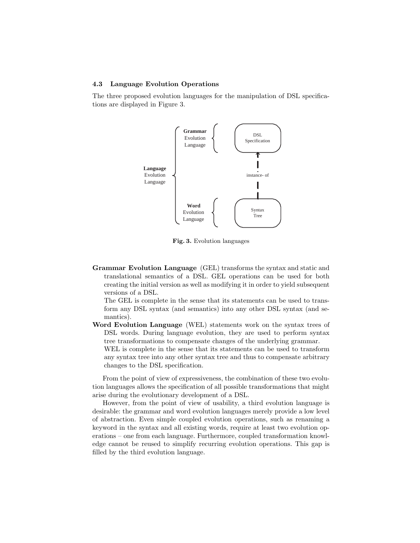#### 4.3 Language Evolution Operations

The three proposed evolution languages for the manipulation of DSL specifications are displayed in Figure 3.



Fig. 3. Evolution languages

Grammar Evolution Language (GEL) transforms the syntax and static and translational semantics of a DSL. GEL operations can be used for both creating the initial version as well as modifying it in order to yield subsequent versions of a DSL.

The GEL is complete in the sense that its statements can be used to transform any DSL syntax (and semantics) into any other DSL syntax (and semantics).

Word Evolution Language (WEL) statements work on the syntax trees of DSL words. During language evolution, they are used to perform syntax tree transformations to compensate changes of the underlying grammar.

WEL is complete in the sense that its statements can be used to transform any syntax tree into any other syntax tree and thus to compensate arbitrary changes to the DSL specification.

From the point of view of expressiveness, the combination of these two evolution languages allows the specification of all possible transformations that might arise during the evolutionary development of a DSL.

However, from the point of view of usability, a third evolution language is desirable: the grammar and word evolution languages merely provide a low level of abstraction. Even simple coupled evolution operations, such as renaming a keyword in the syntax and all existing words, require at least two evolution operations – one from each language. Furthermore, coupled transformation knowledge cannot be reused to simplify recurring evolution operations. This gap is filled by the third evolution language.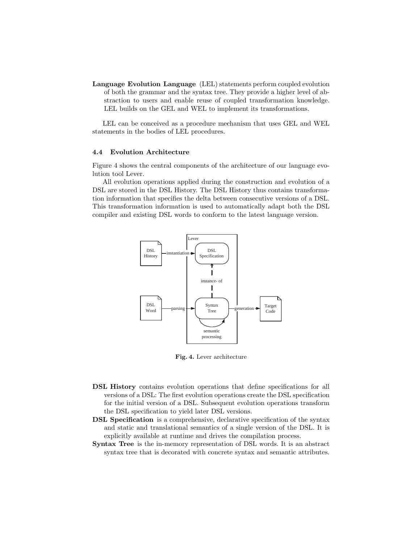Language Evolution Language (LEL) statements perform coupled evolution of both the grammar and the syntax tree. They provide a higher level of abstraction to users and enable reuse of coupled transformation knowledge. LEL builds on the GEL and WEL to implement its transformations.

LEL can be conceived as a procedure mechanism that uses GEL and WEL statements in the bodies of LEL procedures.

### 4.4 Evolution Architecture

Figure 4 shows the central components of the architecture of our language evolution tool Lever.

All evolution operations applied during the construction and evolution of a DSL are stored in the DSL History. The DSL History thus contains transformation information that specifies the delta between consecutive versions of a DSL. This transformation information is used to automatically adapt both the DSL compiler and existing DSL words to conform to the latest language version.



Fig. 4. Lever architecture

- DSL History contains evolution operations that define specifications for all versions of a DSL: The first evolution operations create the DSL specification for the initial version of a DSL. Subsequent evolution operations transform the DSL specification to yield later DSL versions.
- DSL Specification is a comprehensive, declarative specification of the syntax and static and translational semantics of a single version of the DSL. It is explicitly available at runtime and drives the compilation process.
- Syntax Tree is the in-memory representation of DSL words. It is an abstract syntax tree that is decorated with concrete syntax and semantic attributes.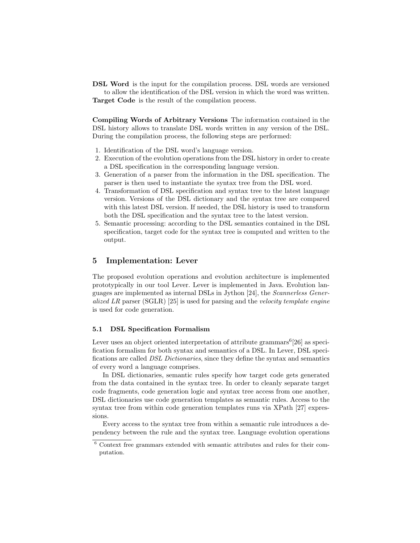DSL Word is the input for the compilation process. DSL words are versioned to allow the identification of the DSL version in which the word was written. Target Code is the result of the compilation process.

Compiling Words of Arbitrary Versions The information contained in the DSL history allows to translate DSL words written in any version of the DSL. During the compilation process, the following steps are performed:

- 1. Identification of the DSL word's language version.
- 2. Execution of the evolution operations from the DSL history in order to create a DSL specification in the corresponding language version.
- 3. Generation of a parser from the information in the DSL specification. The parser is then used to instantiate the syntax tree from the DSL word.
- 4. Transformation of DSL specification and syntax tree to the latest language version. Versions of the DSL dictionary and the syntax tree are compared with this latest DSL version. If needed, the DSL history is used to transform both the DSL specification and the syntax tree to the latest version.
- 5. Semantic processing: according to the DSL semantics contained in the DSL specification, target code for the syntax tree is computed and written to the output.

### 5 Implementation: Lever

The proposed evolution operations and evolution architecture is implemented prototypically in our tool Lever. Lever is implemented in Java. Evolution languages are implemented as internal DSLs in Jython [24], the Scannerless Generalized LR parser (SGLR) [25] is used for parsing and the velocity template engine is used for code generation.

### 5.1 DSL Specification Formalism

Lever uses an object oriented interpretation of attribute grammars<sup>6</sup>[26] as specification formalism for both syntax and semantics of a DSL. In Lever, DSL specifications are called DSL Dictionaries, since they define the syntax and semantics of every word a language comprises.

In DSL dictionaries, semantic rules specify how target code gets generated from the data contained in the syntax tree. In order to cleanly separate target code fragments, code generation logic and syntax tree access from one another, DSL dictionaries use code generation templates as semantic rules. Access to the syntax tree from within code generation templates runs via XPath [27] expressions.

Every access to the syntax tree from within a semantic rule introduces a dependency between the rule and the syntax tree. Language evolution operations

 $6$  Context free grammars extended with semantic attributes and rules for their computation.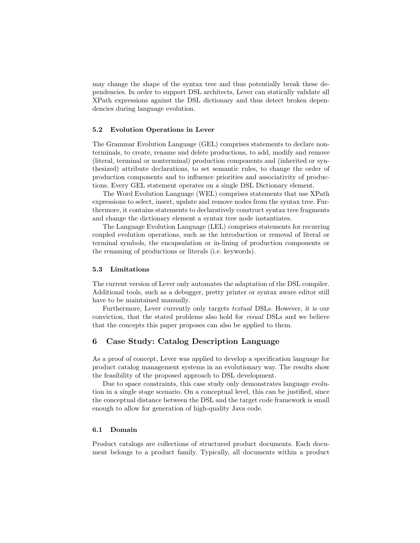may change the shape of the syntax tree and thus potentially break these dependencies. In order to support DSL architects, Lever can statically validate all XPath expressions against the DSL dictionary and thus detect broken dependencies during language evolution.

#### 5.2 Evolution Operations in Lever

The Grammar Evolution Language (GEL) comprises statements to declare nonterminals, to create, rename and delete productions, to add, modify and remove (literal, terminal or nonterminal) production components and (inherited or synthesized) attribute declarations, to set semantic rules, to change the order of production components and to influence priorities and associativity of productions. Every GEL statement operates on a single DSL Dictionary element.

The Word Evolution Language (WEL) comprises statements that use XPath expressions to select, insert, update and remove nodes from the syntax tree. Furthermore, it contains statements to declaratively construct syntax tree fragments and change the dictionary element a syntax tree node instantiates.

The Language Evolution Language (LEL) comprises statements for recurring coupled evolution operations, such as the introduction or removal of literal or terminal symbols, the encapsulation or in-lining of production components or the renaming of productions or literals (i.e. keywords).

#### 5.3 Limitations

The current version of Lever only automates the adaptation of the DSL compiler. Additional tools, such as a debugger, pretty printer or syntax aware editor still have to be maintained manually.

Furthermore, Lever currently only targets textual DSLs. However, it is our conviction, that the stated problems also hold for visual DSLs and we believe that the concepts this paper proposes can also be applied to them.

# 6 Case Study: Catalog Description Language

As a proof of concept, Lever was applied to develop a specification language for product catalog management systems in an evolutionary way. The results show the feasibility of the proposed approach to DSL development.

Due to space constraints, this case study only demonstrates language evolution in a single stage scenario. On a conceptual level, this can be justified, since the conceptual distance between the DSL and the target code framework is small enough to allow for generation of high-quality Java code.

#### 6.1 Domain

Product catalogs are collections of structured product documents. Each document belongs to a product family. Typically, all documents within a product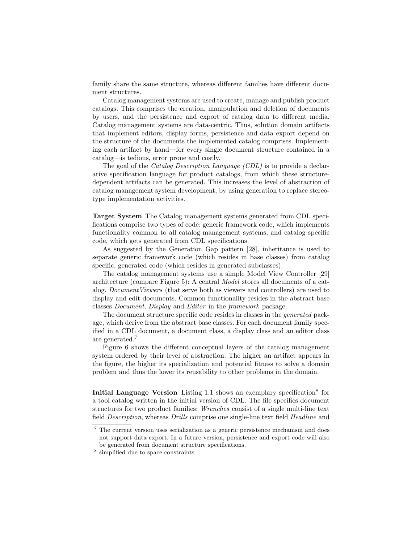family share the same structure, whereas different families have different document structures.

Catalog management systems are used to create, manage and publish product catalogs. This comprises the creation, manipulation and deletion of documents by users, and the persistence and export of catalog data to different media. Catalog management systems are data-centric. Thus, solution domain artifacts that implement editors, display forms, persistence and data export depend on the structure of the documents the implemented catalog comprises. Implementing each artifact by hand—for every single document structure contained in a catalog—is tedious, error prone and costly.

The goal of the *Catalog Description Language (CDL)* is to provide a declarative specification language for product catalogs, from which these structuredependent artifacts can be generated. This increases the level of abstraction of catalog management system development, by using generation to replace stereotype implementation activities.

Target System The Catalog management systems generated from CDL specifications comprise two types of code: generic framework code, which implements functionality common to all catalog management systems, and catalog specific code, which gets generated from CDL specifications.

As suggested by the Generation Gap pattern [28], inheritance is used to separate generic framework code (which resides in base classes) from catalog specific, generated code (which resides in generated subclasses).

The catalog management systems use a simple Model View Controller [29] architecture (compare Figure 5): A central Model stores all documents of a catalog. DocumentViewers (that serve both as viewers and controllers) are used to display and edit documents. Common functionality resides in the abstract base classes Document, Display and Editor in the framework package.

The document structure specific code resides in classes in the generated package, which derive from the abstract base classes. For each document family specified in a CDL document, a document class, a display class and an editor class are generated.<sup>7</sup>

Figure 6 shows the different conceptual layers of the catalog management system ordered by their level of abstraction. The higher an artifact appears in the figure, the higher its specialization and potential fitness to solve a domain problem and thus the lower its reusability to other problems in the domain.

Initial Language Version Listing 1.1 shows an exemplary specification<sup>8</sup> for a tool catalog written in the initial version of CDL. The file specifies document structures for two product families: Wrenches consist of a single multi-line text field Description, whereas Drills comprise one single-line text field Headline and

<sup>7</sup> The current version uses serialization as a generic persistence mechanism and does not support data export. In a future version, persistence and export code will also be generated from document structure specifications.

<sup>8</sup> simplified due to space constraints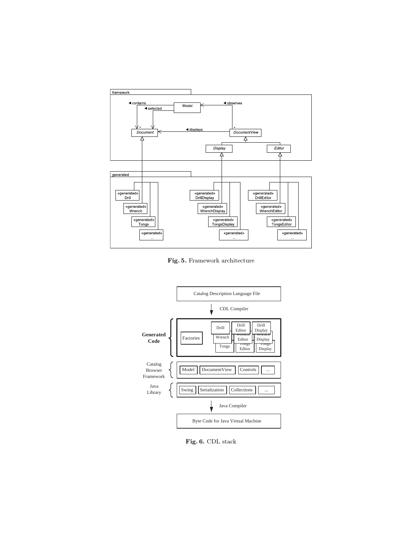

Fig. 5. Framework architecture



Fig. 6. CDL stack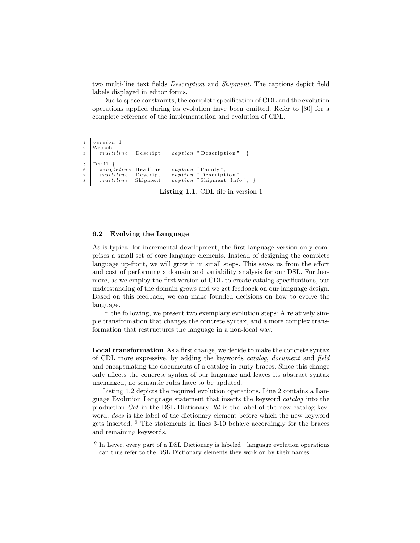two multi-line text fields Description and Shipment. The captions depict field labels displayed in editor forms.

Due to space constraints, the complete specification of CDL and the evolution operations applied during its evolution have been omitted. Refer to [30] for a complete reference of the implementation and evolution of CDL.

```
1 \; \text{version} \; 1\begin{array}{c|c} \n2 & \text{Wrench} & \{ \\
3 & \text{multiline} \n\end{array}3 | multiline Descript caption "Description"; }
\begin{array}{c|c} 5 & \text{Drill} & \{ \\ 6 & single line \end{array}6 | singleline Headline caption "Family";
7 multiline Descript caption "Description";<br>8 multiline Shipment caption "Shipment Info
\begin{array}{c|c} \hline \text{8} & \text{multiline} & \text{Shipment} \\ \hline \end{array} shipment \begin{array}{c} \text{Caytion} & \text{N} \\ \text{Shipment} & \text{Info} \end{array}
```
Listing 1.1. CDL file in version 1

### 6.2 Evolving the Language

As is typical for incremental development, the first language version only comprises a small set of core language elements. Instead of designing the complete language up-front, we will grow it in small steps. This saves us from the effort and cost of performing a domain and variability analysis for our DSL. Furthermore, as we employ the first version of CDL to create catalog specifications, our understanding of the domain grows and we get feedback on our language design. Based on this feedback, we can make founded decisions on how to evolve the language.

In the following, we present two exemplary evolution steps: A relatively simple transformation that changes the concrete syntax, and a more complex transformation that restructures the language in a non-local way.

Local transformation As a first change, we decide to make the concrete syntax of CDL more expressive, by adding the keywords catalog, document and field and encapsulating the documents of a catalog in curly braces. Since this change only affects the concrete syntax of our language and leaves its abstract syntax unchanged, no semantic rules have to be updated.

Listing 1.2 depicts the required evolution operations. Line 2 contains a Language Evolution Language statement that inserts the keyword catalog into the production Cat in the DSL Dictionary. lbl is the label of the new catalog keyword, docs is the label of the dictionary element before which the new keyword gets inserted. <sup>9</sup> The statements in lines 3-10 behave accordingly for the braces and remaining keywords.

<sup>&</sup>lt;sup>9</sup> In Lever, every part of a DSL Dictionary is labeled—language evolution operations can thus refer to the DSL Dictionary elements they work on by their names.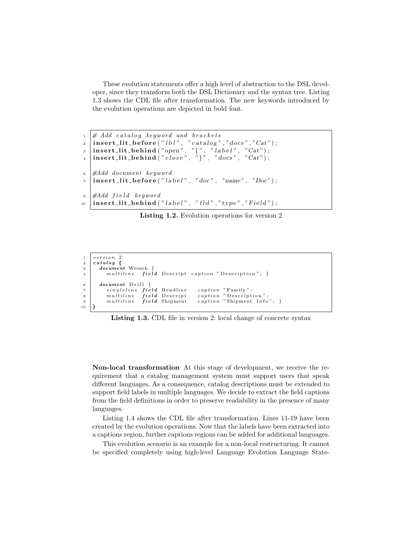These evolution statements offer a high level of abstraction to the DSL developer, since they transform both the DSL Dictionary and the syntax tree. Listing 1.3 shows the CDL file after transformation. The new keywords introduced by the evolution operations are depicted in bold font.

```
_1 \# Add catalog keyword and brackets
\frac{1}{2} insert_lit_before ("lbl", "catalog","docs","Cat");
_3 |insert_lit_behind("open", "{", "label", "Cat");
_4 |insert_lit_behind("close","}","docs","Cat");
6 \mid #Add document keyword
7 \mid \text{insert\_lit\_before("label", "doc", "name", "Doc");}9 \text{ }\#Add \text{ } field \text{ } keyword_{^{10}}\mid insert_lit_behind ( "label" , "fld" , "type" , "Field") ;
```
Listing 1.2. Evolution operations for version 2

```
1 \vert version \vert 22 \cdot \cdot catalog {
3 document Wrench {
4 | multiline field Descript caption "Description"; }
6 \mid document D r ill {
\begin{array}{c|c|c|c|c} \hline \tau & & & \text{singleline field} & \text{Headline} & & \text{caption} & \text{"Family"}\,; \\ \hline \end{array} \quad \begin{array}{c} \hline \pi ult iline & \text{field} & \text{Description} & \text{coportion} & \text{?} \\\hline \end{array}8 multiline field Descript<br>9 multiline field Shipment
9 | multiline field Shipment caption "Shipment Info"; }
10 \mid \}
```
Listing 1.3. CDL file in version 2: local change of concrete syntax

Non-local transformation At this stage of development, we receive the requirement that a catalog management system must support users that speak different languages. As a consequence, catalog descriptions must be extended to support field labels in multiple languages. We decide to extract the field captions from the field definitions in order to preserve readability in the presence of many languages.

Listing 1.4 shows the CDL file after transformation. Lines 11-19 have been created by the evolution operations. Now that the labels have been extracted into a captions region, further captions regions can be added for additional languages.

This evolution scenario is an example for a non-local restructuring. It cannot be specified completely using high-level Language Evolution Language State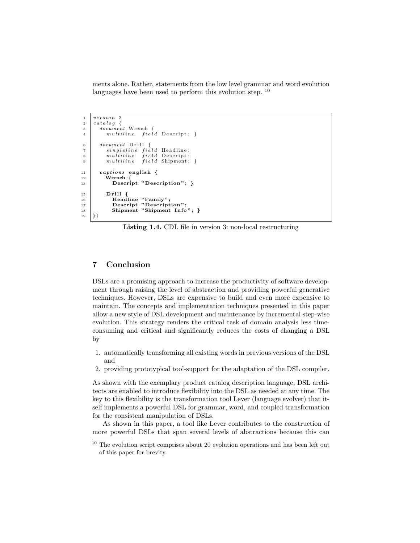ments alone. Rather, statements from the low level grammar and word evolution languages have been used to perform this evolution step.  $^{10}$ 

```
\begin{array}{c|cc}\n 1 & version & 2 \\
 2 & catalog & 1\n\end{array}\ c \ a \ t \ a \ l \ o \ g \ \ \ \{3 document Wrench {
4 multiline field Descript; }
6 document D rill {
         single line field Headline;
 8 multiline field Descript;<br>9 multiline field Shipment; }
11 captions english {
12 Wrench {<br>
Descript "Description"; }
15 Drill {
16 Headline "Family";
17 Descript "Description";
_{18} Shipment "Shipment Info"; }
19 \mid \}
```
Listing 1.4. CDL file in version 3: non-local restructuring

# 7 Conclusion

DSLs are a promising approach to increase the productivity of software development through raising the level of abstraction and providing powerful generative techniques. However, DSLs are expensive to build and even more expensive to maintain. The concepts and implementation techniques presented in this paper allow a new style of DSL development and maintenance by incremental step-wise evolution. This strategy renders the critical task of domain analysis less timeconsuming and critical and significantly reduces the costs of changing a DSL by

- 1. automatically transforming all existing words in previous versions of the DSL and
- 2. providing prototypical tool-support for the adaptation of the DSL compiler.

As shown with the exemplary product catalog description language, DSL architects are enabled to introduce flexibility into the DSL as needed at any time. The key to this flexibility is the transformation tool Lever (language evolver) that itself implements a powerful DSL for grammar, word, and coupled transformation for the consistent manipulation of DSLs.

As shown in this paper, a tool like Lever contributes to the construction of more powerful DSLs that span several levels of abstractions because this can

 $10$  The evolution script comprises about 20 evolution operations and has been left out of this paper for brevity.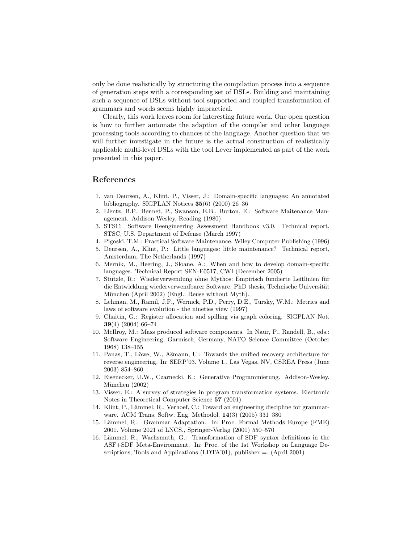only be done realistically by structuring the compilation process into a sequence of generation steps with a corresponding set of DSLs. Building and maintaining such a sequence of DSLs without tool supported and coupled transformation of grammars and words seems highly impractical.

Clearly, this work leaves room for interesting future work. One open question is how to further automate the adaption of the compiler and other language processing tools according to chances of the language. Another question that we will further investigate in the future is the actual construction of realistically applicable multi-level DSLs with the tool Lever implemented as part of the work presented in this paper.

### References

- 1. van Deursen, A., Klint, P., Visser, J.: Domain-specific languages: An annotated bibliography. SIGPLAN Notices 35(6) (2000) 26–36
- 2. Lientz, B.P., Bennet, P., Swanson, E.B., Burton, E.: Software Maitenance Management. Addison Wesley, Reading (1980)
- 3. STSC: Software Reengineering Assessment Handbook v3.0. Technical report, STSC, U.S. Department of Defense (March 1997)
- 4. Pigoski, T.M.: Practical Software Maintenance. Wiley Computer Publishing (1996)
- 5. Deursen, A., Klint, P.: Little languages: little maintenance? Technical report, Amsterdam, The Netherlands (1997)
- 6. Mernik, M., Heering, J., Sloane, A.: When and how to develop domain-specific languages. Technical Report SEN-E0517, CWI (December 2005)
- 7. Stützle, R.: Wiederverwendung ohne Mythos: Empirisch fundierte Leitlinien für die Entwicklung wiederverwendbarer Software. PhD thesis, Technische Universität München (April 2002) (Engl.: Reuse without Myth).
- 8. Lehman, M., Ramil, J.F., Wernick, P.D., Perry, D.E., Tursky, W.M.: Metrics and laws of software evolution - the nineties view (1997)
- 9. Chaitin, G.: Register allocation and spilling via graph coloring. SIGPLAN Not. 39(4) (2004) 66–74
- 10. McIlroy, M.: Mass produced software components. In Naur, P., Randell, B., eds.: Software Engineering, Garmisch, Germany, NATO Science Committee (October 1968) 138–155
- 11. Panas, T., Löwe, W., Asmann, U.: Towards the unified recovery architecture for reverse engineering. In: SERP'03. Volume 1., Las Vegas, NV, CSREA Press (June 2003) 854–860
- 12. Eisenecker, U.W., Czarnecki, K.: Generative Programmierung. Addison-Wesley, München (2002)
- 13. Visser, E.: A survey of strategies in program transformation systems. Electronic Notes in Theoretical Computer Science 57 (2001)
- 14. Klint, P., Lämmel, R., Verhoef, C.: Toward an engineering discipline for grammarware. ACM Trans. Softw. Eng. Methodol. 14(3) (2005) 331–380
- 15. Lämmel, R.: Grammar Adaptation. In: Proc. Formal Methods Europe (FME) 2001. Volume 2021 of LNCS., Springer-Verlag (2001) 550–570
- 16. Lämmel, R., Wachsmuth, G.: Transformation of SDF syntax definitions in the ASF+SDF Meta-Environment. In: Proc. of the 1st Workshop on Language Descriptions, Tools and Applications (LDTA'01), publisher  $=$ . (April 2001)